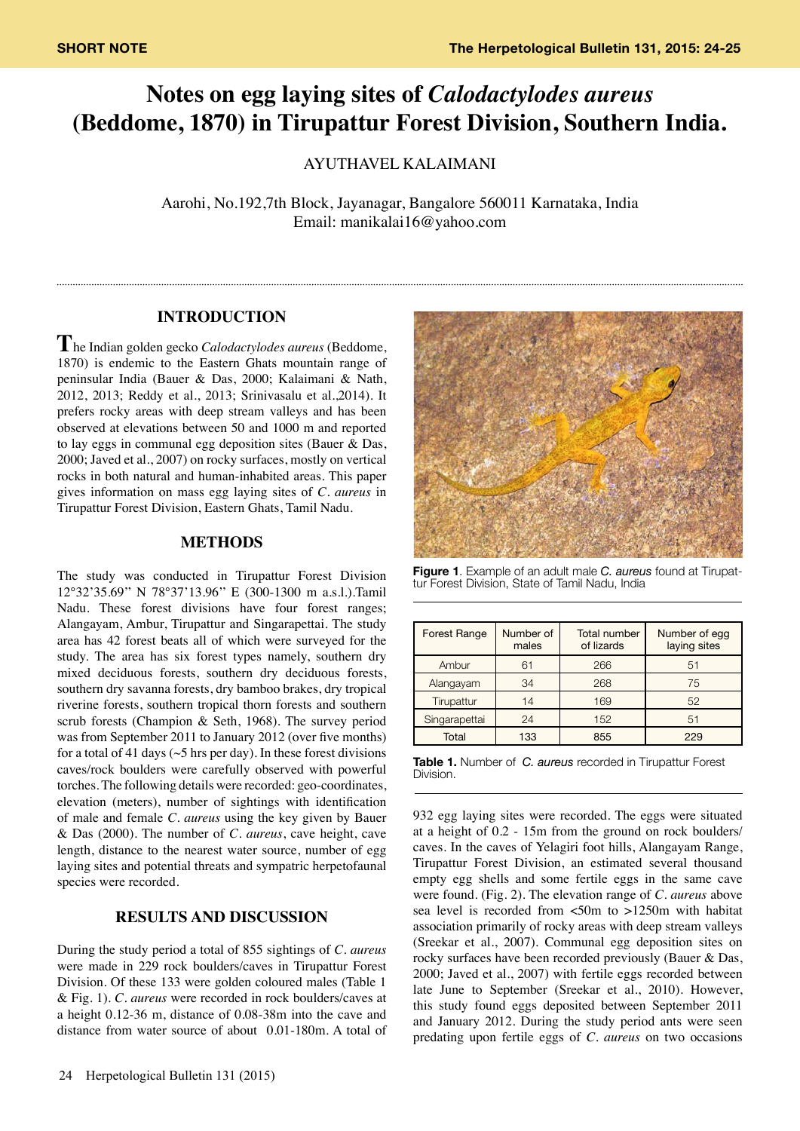# **Notes on egg laying sites of** *Calodactylodes aureus* **(Beddome, 1870) in Tirupattur Forest Division, Southern India.**

AYUTHAVEL KALAIMANI

Aarohi, No.192,7th Block, Jayanagar, Bangalore 560011 Karnataka, India Email: manikalai16@yahoo.com

## **INTRODUCTION**

**T**he Indian golden gecko *Calodactylodes aureus* (Beddome, 1870) is endemic to the Eastern Ghats mountain range of peninsular India (Bauer & Das, 2000; Kalaimani & Nath, 2012, 2013; Reddy et al., 2013; Srinivasalu et al.,2014). It prefers rocky areas with deep stream valleys and has been observed at elevations between 50 and 1000 m and reported to lay eggs in communal egg deposition sites (Bauer & Das, 2000; Javed et al., 2007) on rocky surfaces, mostly on vertical rocks in both natural and human-inhabited areas. This paper gives information on mass egg laying sites of *C. aureus* in Tirupattur Forest Division, Eastern Ghats, Tamil Nadu.

#### **METHODS**

The study was conducted in Tirupattur Forest Division 12°32'35.69'' N 78°37'13.96'' E (300-1300 m a.s.l.).Tamil Nadu. These forest divisions have four forest ranges; Alangayam, Ambur, Tirupattur and Singarapettai. The study area has 42 forest beats all of which were surveyed for the study. The area has six forest types namely, southern dry mixed deciduous forests, southern dry deciduous forests, southern dry savanna forests, dry bamboo brakes, dry tropical riverine forests, southern tropical thorn forests and southern scrub forests (Champion & Seth, 1968). The survey period was from September 2011 to January 2012 (over five months) for a total of 41 days ( $\sim$ 5 hrs per day). In these forest divisions caves/rock boulders were carefully observed with powerful torches. The following details were recorded: geo-coordinates, elevation (meters), number of sightings with identification of male and female *C. aureus* using the key given by Bauer & Das (2000). The number of *C. aureus*, cave height, cave length, distance to the nearest water source, number of egg laying sites and potential threats and sympatric herpetofaunal species were recorded.

# **RESULTS AND DISCUSSION**

During the study period a total of 855 sightings of *C. aureus* were made in 229 rock boulders/caves in Tirupattur Forest Division. Of these 133 were golden coloured males (Table 1 & Fig. 1). *C. aureus* were recorded in rock boulders/caves at a height 0.12-36 m, distance of 0.08-38m into the cave and distance from water source of about 0.01-180m. A total of



**Figure 1**. Example of an adult male *C. aureus* found at Tirupat- tur Forest Division, State of Tamil Nadu, India

| <b>Forest Range</b> | Number of<br>males | <b>Total number</b><br>of lizards | Number of egg<br>laying sites |
|---------------------|--------------------|-----------------------------------|-------------------------------|
| Ambur               | 61                 | 266                               | 51                            |
| Alangayam           | 34                 | 268                               | 75                            |
| Tirupattur          | 14                 | 169                               | 52                            |
| Singarapettai       | 24                 | 152                               | 51                            |
| Total               | 133                | 855                               | 229                           |

**Table 1.** Number of *C. aureus* recorded in Tirupattur Forest Division.

932 egg laying sites were recorded. The eggs were situated at a height of 0.2 - 15m from the ground on rock boulders/ caves. In the caves of Yelagiri foot hills, Alangayam Range, Tirupattur Forest Division, an estimated several thousand empty egg shells and some fertile eggs in the same cave were found. (Fig. 2). The elevation range of *C. aureus* above sea level is recorded from <50m to >1250m with habitat association primarily of rocky areas with deep stream valleys (Sreekar et al., 2007). Communal egg deposition sites on rocky surfaces have been recorded previously (Bauer & Das, 2000; Javed et al., 2007) with fertile eggs recorded between late June to September (Sreekar et al., 2010). However, this study found eggs deposited between September 2011 and January 2012. During the study period ants were seen predating upon fertile eggs of *C. aureus* on two occasions